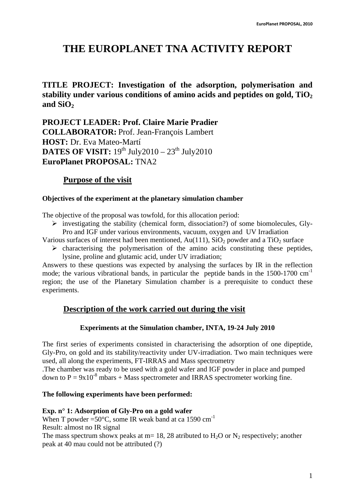# **THE EUROPLANET TNA ACTIVITY REPORT**

**TITLE PROJECT: Investigation of the adsorption, polymerisation and**  stability under various conditions of amino acids and peptides on gold,  $TiO<sub>2</sub>$ and  $SiO<sub>2</sub>$ 

**PROJECT LEADER: Prof. Claire Marie Pradier COLLABORATOR:** Prof. Jean-François Lambert **HOST:** Dr. Eva Mateo-Martí **DATES OF VISIT:**  $19^{th}$  July2010 –  $23^{th}$  July2010 **EuroPlanet PROPOSAL:** TNA2

# **Purpose of the visit**

#### **Objectives of the experiment at the planetary simulation chamber**

The objective of the proposal was towfold, for this allocation period:

 $\triangleright$  investigating the stability (chemical form, dissociation?) of some biomolecules, Gly-Pro and IGF under various environments, vacuum, oxygen and UV Irradiation

Various surfaces of interest had been mentioned,  $Au(111)$ ,  $SiO<sub>2</sub>$  powder and a TiO<sub>2</sub> surface

 $\triangleright$  characterising the polymerisation of the amino acids constituting these peptides, lysine, proline and glutamic acid, under UV irradiation;

Answers to these questions was expected by analysing the surfaces by IR in the reflection mode; the various vibrational bands, in particular the peptide bands in the  $1500-1700$  cm<sup>-1</sup> region; the use of the Planetary Simulation chamber is a prerequisite to conduct these experiments.

# **Description of the work carried out during the visit**

#### **Experiments at the Simulation chamber, INTA, 19-24 July 2010**

The first series of experiments consisted in characterising the adsorption of one dipeptide, Gly-Pro, on gold and its stability/reactivity under UV-irradiation. Two main techniques were used, all along the experiments, FT-IRRAS and Mass spectrometry

.The chamber was ready to be used with a gold wafer and IGF powder in place and pumped down to  $P = 9x10^{-8}$  mbars + Mass spectrometer and IRRAS spectrometer working fine.

#### **The following experiments have been performed:**

#### **Exp. n° 1: Adsorption of Gly-Pro on a gold wafer**

When T powder =50 $^{\circ}$ C, some IR weak band at ca 1590 cm<sup>-1</sup>

Result: almost no IR signal

The mass spectrum shows peaks at m= 18, 28 atributed to  $H_2O$  or  $N_2$  respectively; another peak at 40 mau could not be attributed (?)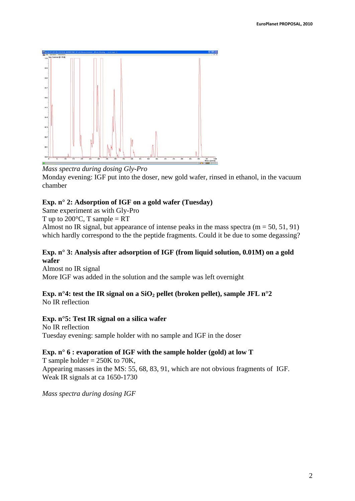

#### *Mass spectra during dosing Gly-Pro*

Monday evening: IGF put into the doser, new gold wafer, rinsed in ethanol, in the vacuum chamber

#### **Exp. n° 2: Adsorption of IGF on a gold wafer (Tuesday)**

Same experiment as with Gly-Pro

T up to  $200^{\circ}$ C, T sample = RT

Almost no IR signal, but appearance of intense peaks in the mass spectra  $(m = 50, 51, 91)$ which hardly correspond to the the peptide fragments. Could it be due to some degassing?

#### **Exp. n° 3: Analysis after adsorption of IGF (from liquid solution, 0.01M) on a gold wafer**

Almost no IR signal More IGF was added in the solution and the sample was left overnight

# **Exp. n°4: test the IR signal on a SiO<sub>2</sub> pellet (broken pellet), sample JFL n°2**

No IR reflection

#### **Exp. n°5: Test IR signal on a silica wafer**

No IR reflection Tuesday evening: sample holder with no sample and IGF in the doser

#### **Exp. n° 6 : evaporation of IGF with the sample holder (gold) at low T**

T sample holder  $= 250K$  to 70K, Appearing masses in the MS: 55, 68, 83, 91, which are not obvious fragments of IGF. Weak IR signals at ca 1650-1730

*Mass spectra during dosing IGF*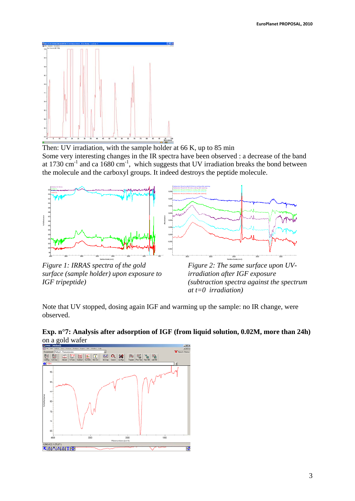

Then: UV irradiation, with the sample holder at 66 K, up to 85 min

Some very interesting changes in the IR spectra have been observed : a decrease of the band at 1730 cm<sup>-1</sup> and ca  $1680 \text{ cm}^{-1}$ , which suggests that UV irradiation breaks the bond between the molecule and the carboxyl groups. It indeed destroys the peptide molecule.



*Figure 1: IRRAS spectra of the gold surface (sample holder) upon exposure to IGF tripeptide)* 

*Figure 2: The same surface upon UVirradiation after IGF exposure (subtraction spectra against the spectrum at t=0 irradiation)*

Note that UV stopped, dosing again IGF and warming up the sample: no IR change, were observed.



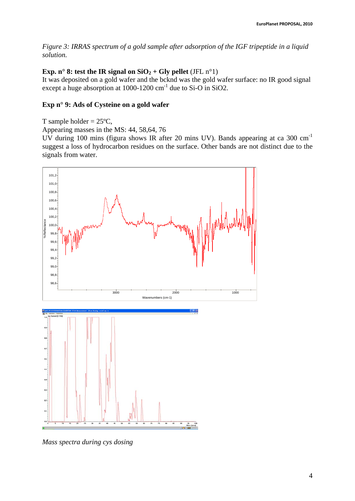*Figure 3: IRRAS spectrum of a gold sample after adsorption of the IGF tripeptide in a liquid solution.* 

### **Exp. n° 8: test the IR signal on**  $SiO_2 + Gly$  **pellet** (JFL n°1)

It was deposited on a gold wafer and the bcknd was the gold wafer surface: no IR good signal except a huge absorption at 1000-1200 cm-1 due to Si-O in SiO2.

### **Exp n° 9: Ads of Cysteine on a gold wafer**

```
T sample holder = 25^{\circ}C,
```
Appearing masses in the MS: 44, 58,64, 76

UV during 100 mins (figura shows IR after 20 mins UV). Bands appearing at ca 300 cm-1 suggest a loss of hydrocarbon residues on the surface. Other bands are not distinct due to the signals from water.



*Mass spectra during cys dosing*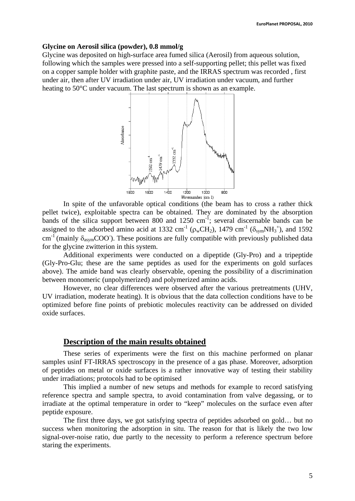#### **Glycine on Aerosil silica (powder), 0.8 mmol/g**

Glycine was deposited on high-surface area fumed silica (Aerosil) from aqueous solution, following which the samples were pressed into a self-supporting pellet; this pellet was fixed on a copper sample holder with graphite paste, and the IRRAS spectrum was recorded , first under air, then after UV irradiation under air, UV irradiation under vacuum, and further heating to 50°C under vacuum. The last spectrum is shown as an example.



In spite of the unfavorable optical conditions (the beam has to cross a rather thick pellet twice), exploitable spectra can be obtained. They are dominated by the absorption bands of the silica support between 800 and 1250  $cm^{-1}$ ; several discernable bands can be assigned to the adsorbed amino acid at 1332 cm<sup>-1</sup> ( $\rho_wCH_2$ ), 1479 cm<sup>-1</sup> ( $\delta_{sym}NH_3^{\text{+}}$ ), and 1592 cm<sup>-1</sup> (mainly  $\delta_{\text{asym}}$ COO ). These positions are fully compatible with previously published data for the glycine zwitterion in this system.

Additional experiments were conducted on a dipeptide (Gly-Pro) and a tripeptide (Gly-Pro-Glu; these are the same peptides as used for the experiments on gold surfaces above). The amide band was clearly observable, opening the possibility of a discrimination between monomeric (unpolymerized) and polymerized amino acids.

However, no clear differences were observed after the various pretreatments (UHV, UV irradiation, moderate heating). It is obvious that the data collection conditions have to be optimized before fine points of prebiotic molecules reactivity can be addressed on divided oxide surfaces.

#### **Description of the main results obtained**

These series of experiments were the first on this machine performed on planar samples usinf FT-IRRAS spectroscopy in the presence of a gas phase. Moreover, adsorption of peptides on metal or oxide surfaces is a rather innovative way of testing their stability under irradiations; protocols had to be optimised

This implied a number of new setups and methods for example to record satisfying reference spectra and sample spectra, to avoid contamination from valve degassing, or to irradiate at the optimal temperature in order to "keep" molecules on the surface even after peptide exposure.

The first three days, we got satisfying spectra of peptides adsorbed on gold… but no success when monitoring the adsorption in situ. The reason for that is likely the two low signal-over-noise ratio, due partly to the necessity to perform a reference spectrum before staring the experiments.